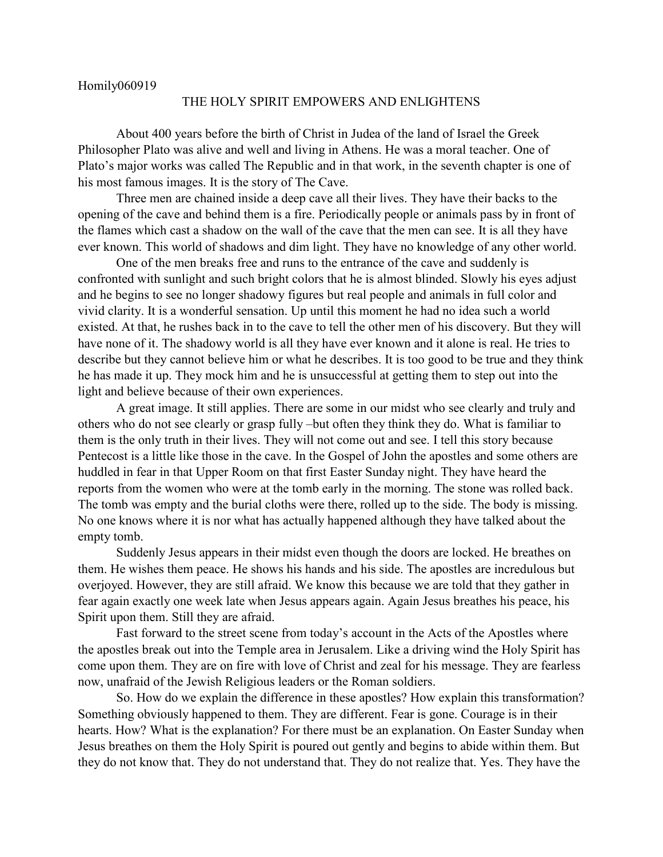## THE HOLY SPIRIT EMPOWERS AND ENLIGHTENS

About 400 years before the birth of Christ in Judea of the land of Israel the Greek Philosopher Plato was alive and well and living in Athens. He was a moral teacher. One of Plato's major works was called The Republic and in that work, in the seventh chapter is one of his most famous images. It is the story of The Cave.

Three men are chained inside a deep cave all their lives. They have their backs to the opening of the cave and behind them is a fire. Periodically people or animals pass by in front of the flames which cast a shadow on the wall of the cave that the men can see. It is all they have ever known. This world of shadows and dim light. They have no knowledge of any other world.

One of the men breaks free and runs to the entrance of the cave and suddenly is confronted with sunlight and such bright colors that he is almost blinded. Slowly his eyes adjust and he begins to see no longer shadowy figures but real people and animals in full color and vivid clarity. It is a wonderful sensation. Up until this moment he had no idea such a world existed. At that, he rushes back in to the cave to tell the other men of his discovery. But they will have none of it. The shadowy world is all they have ever known and it alone is real. He tries to describe but they cannot believe him or what he describes. It is too good to be true and they think he has made it up. They mock him and he is unsuccessful at getting them to step out into the light and believe because of their own experiences.

A great image. It still applies. There are some in our midst who see clearly and truly and others who do not see clearly or grasp fully –but often they think they do. What is familiar to them is the only truth in their lives. They will not come out and see. I tell this story because Pentecost is a little like those in the cave. In the Gospel of John the apostles and some others are huddled in fear in that Upper Room on that first Easter Sunday night. They have heard the reports from the women who were at the tomb early in the morning. The stone was rolled back. The tomb was empty and the burial cloths were there, rolled up to the side. The body is missing. No one knows where it is nor what has actually happened although they have talked about the empty tomb.

Suddenly Jesus appears in their midst even though the doors are locked. He breathes on them. He wishes them peace. He shows his hands and his side. The apostles are incredulous but overjoyed. However, they are still afraid. We know this because we are told that they gather in fear again exactly one week late when Jesus appears again. Again Jesus breathes his peace, his Spirit upon them. Still they are afraid.

Fast forward to the street scene from today's account in the Acts of the Apostles where the apostles break out into the Temple area in Jerusalem. Like a driving wind the Holy Spirit has come upon them. They are on fire with love of Christ and zeal for his message. They are fearless now, unafraid of the Jewish Religious leaders or the Roman soldiers.

So. How do we explain the difference in these apostles? How explain this transformation? Something obviously happened to them. They are different. Fear is gone. Courage is in their hearts. How? What is the explanation? For there must be an explanation. On Easter Sunday when Jesus breathes on them the Holy Spirit is poured out gently and begins to abide within them. But they do not know that. They do not understand that. They do not realize that. Yes. They have the